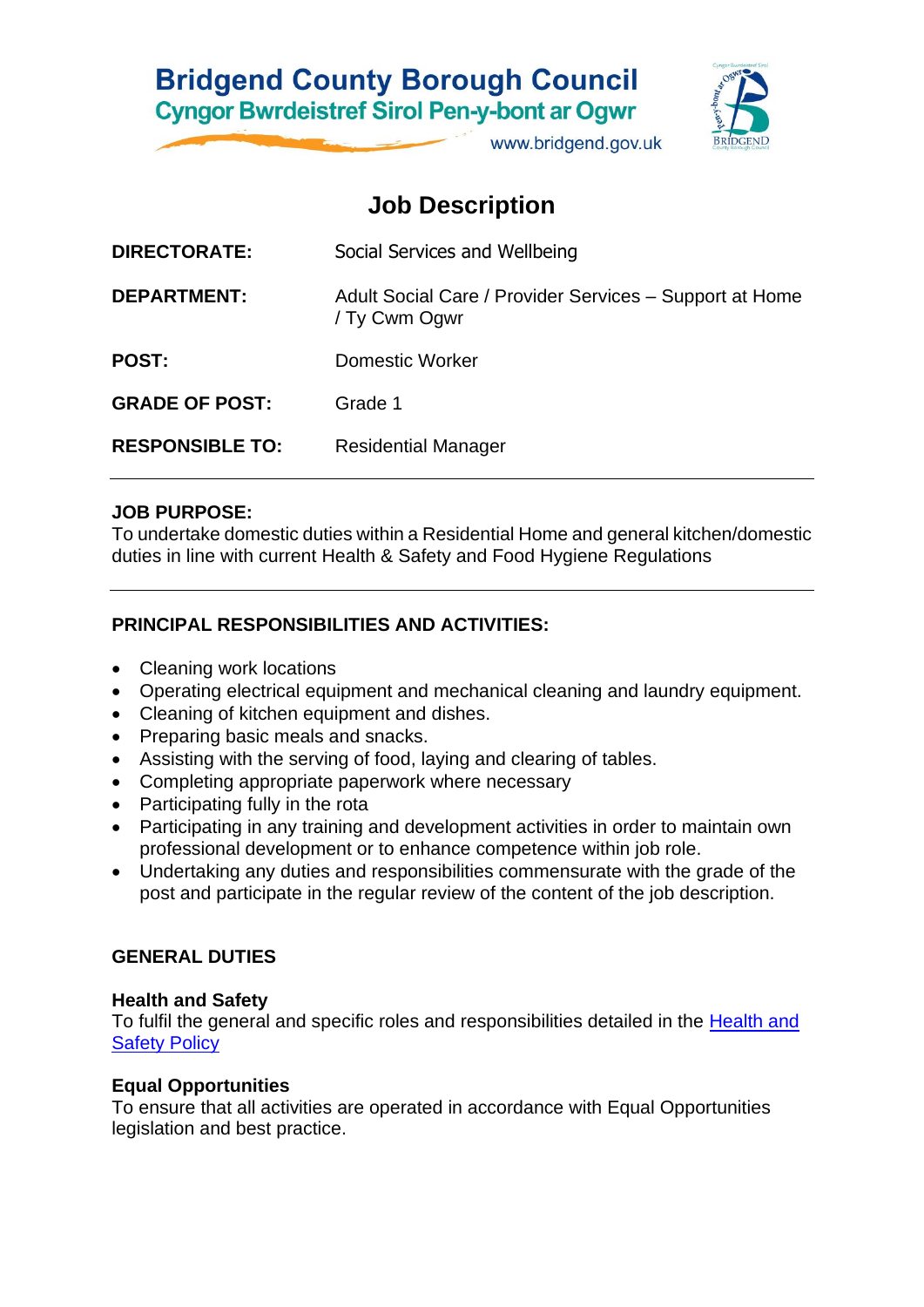# **Bridgend County Borough Council Cyngor Bwrdeistref Sirol Pen-y-bont ar Ogwr**



www.bridgend.gov.uk

## **Job Description**

| <b>DIRECTORATE:</b>    | Social Services and Wellbeing                                            |
|------------------------|--------------------------------------------------------------------------|
| <b>DEPARTMENT:</b>     | Adult Social Care / Provider Services - Support at Home<br>/ Ty Cwm Ogwr |
| <b>POST:</b>           | Domestic Worker                                                          |
| <b>GRADE OF POST:</b>  | Grade 1                                                                  |
| <b>RESPONSIBLE TO:</b> | <b>Residential Manager</b>                                               |
|                        |                                                                          |

### **JOB PURPOSE:**

To undertake domestic duties within a Residential Home and general kitchen/domestic duties in line with current Health & Safety and Food Hygiene Regulations

## **PRINCIPAL RESPONSIBILITIES AND ACTIVITIES:**

- Cleaning work locations
- Operating electrical equipment and mechanical cleaning and laundry equipment.
- Cleaning of kitchen equipment and dishes.
- Preparing basic meals and snacks.
- Assisting with the serving of food, laying and clearing of tables.
- Completing appropriate paperwork where necessary
- Participating fully in the rota
- Participating in any training and development activities in order to maintain own professional development or to enhance competence within job role.
- Undertaking any duties and responsibilities commensurate with the grade of the post and participate in the regular review of the content of the job description.

## **GENERAL DUTIES**

### **Health and Safety**

To fulfil the general and specific roles and responsibilities detailed in the [Health and](http://www.bridgenders.net/healthandsafety/Documents/Policies/Corporate%20Health%20and%20Safety%20Policy.pdf)  [Safety Policy](http://www.bridgenders.net/healthandsafety/Documents/Policies/Corporate%20Health%20and%20Safety%20Policy.pdf)

## **Equal Opportunities**

To ensure that all activities are operated in accordance with Equal Opportunities legislation and best practice.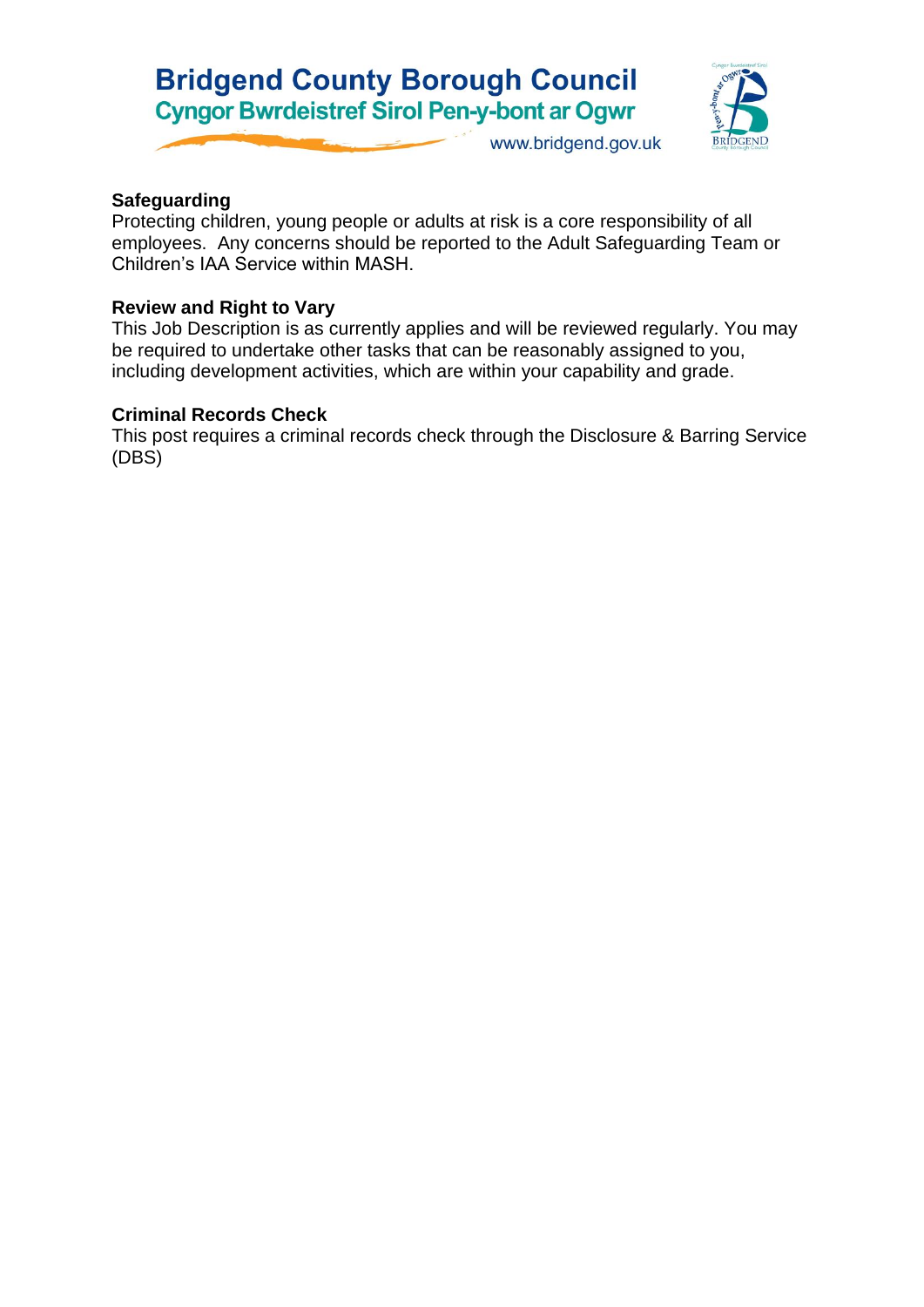# **Bridgend County Borough Council Cyngor Bwrdeistref Sirol Pen-y-bont ar Ogwr**



www.bridgend.gov.uk

## **Safeguarding**

Protecting children, young people or adults at risk is a core responsibility of all employees. Any concerns should be reported to the Adult Safeguarding Team or Children's IAA Service within MASH.

## **Review and Right to Vary**

This Job Description is as currently applies and will be reviewed regularly. You may be required to undertake other tasks that can be reasonably assigned to you, including development activities, which are within your capability and grade.

## **Criminal Records Check**

This post requires a criminal records check through the Disclosure & Barring Service (DBS)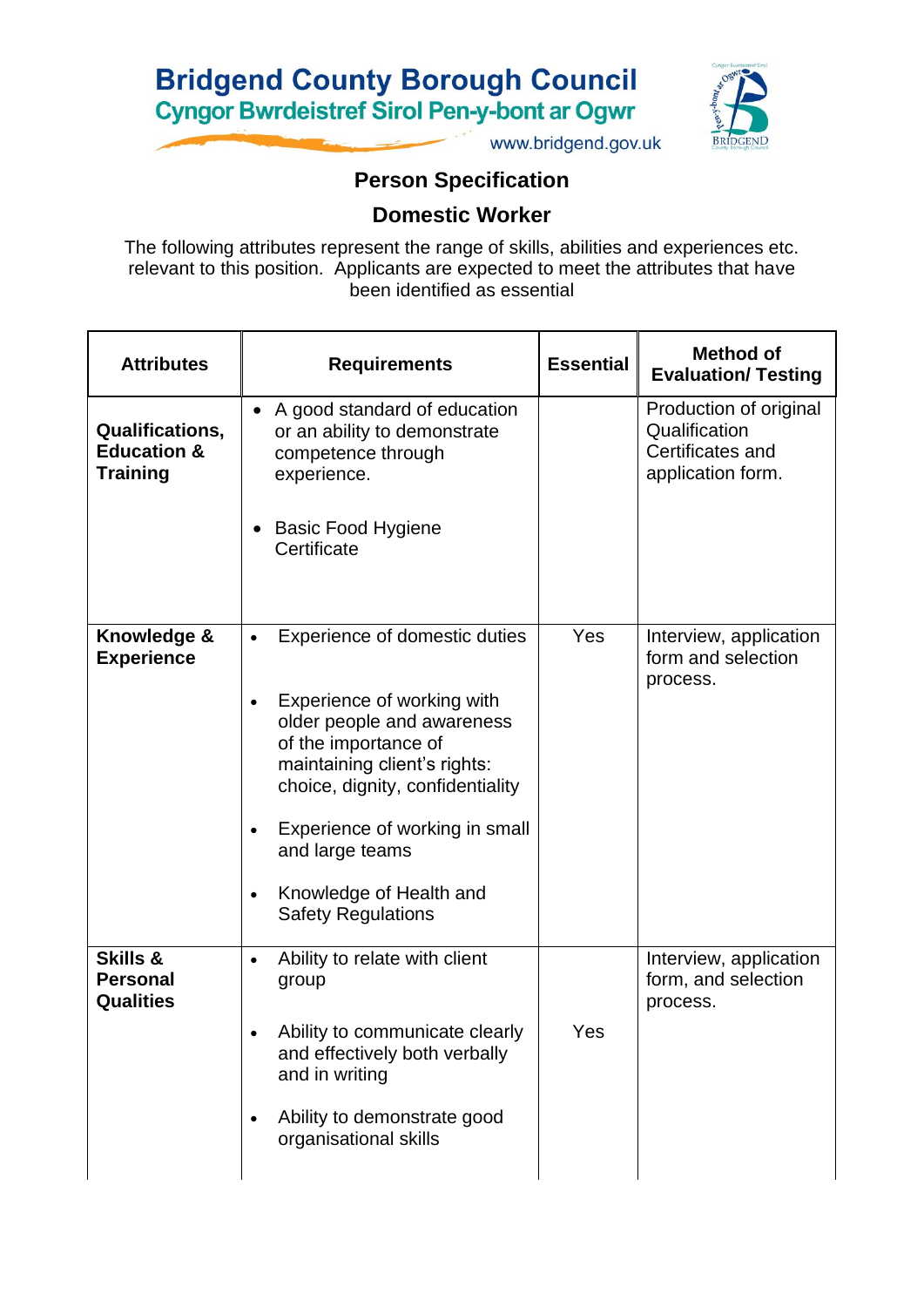



www.bridgend.gov.uk

## **Person Specification**

**Domestic Worker**

The following attributes represent the range of skills, abilities and experiences etc. relevant to this position. Applicants are expected to meet the attributes that have been identified as essential

| <b>Attributes</b>                                                   | <b>Requirements</b>                                                                                                                                                                                                                                                                                             | <b>Essential</b> | <b>Method of</b><br><b>Evaluation/ Testing</b>                                   |
|---------------------------------------------------------------------|-----------------------------------------------------------------------------------------------------------------------------------------------------------------------------------------------------------------------------------------------------------------------------------------------------------------|------------------|----------------------------------------------------------------------------------|
| <b>Qualifications,</b><br><b>Education &amp;</b><br><b>Training</b> | A good standard of education<br>$\bullet$<br>or an ability to demonstrate<br>competence through<br>experience.<br><b>Basic Food Hygiene</b><br>Certificate                                                                                                                                                      |                  | Production of original<br>Qualification<br>Certificates and<br>application form. |
| Knowledge &<br><b>Experience</b>                                    | Experience of domestic duties<br>$\bullet$<br>Experience of working with<br>older people and awareness<br>of the importance of<br>maintaining client's rights:<br>choice, dignity, confidentiality<br>Experience of working in small<br>and large teams<br>Knowledge of Health and<br><b>Safety Regulations</b> | Yes              | Interview, application<br>form and selection<br>process.                         |
| <b>Skills &amp;</b><br><b>Personal</b><br><b>Qualities</b>          | Ability to relate with client<br>$\bullet$<br>group<br>Ability to communicate clearly<br>and effectively both verbally<br>and in writing<br>Ability to demonstrate good<br>organisational skills                                                                                                                | Yes              | Interview, application<br>form, and selection<br>process.                        |